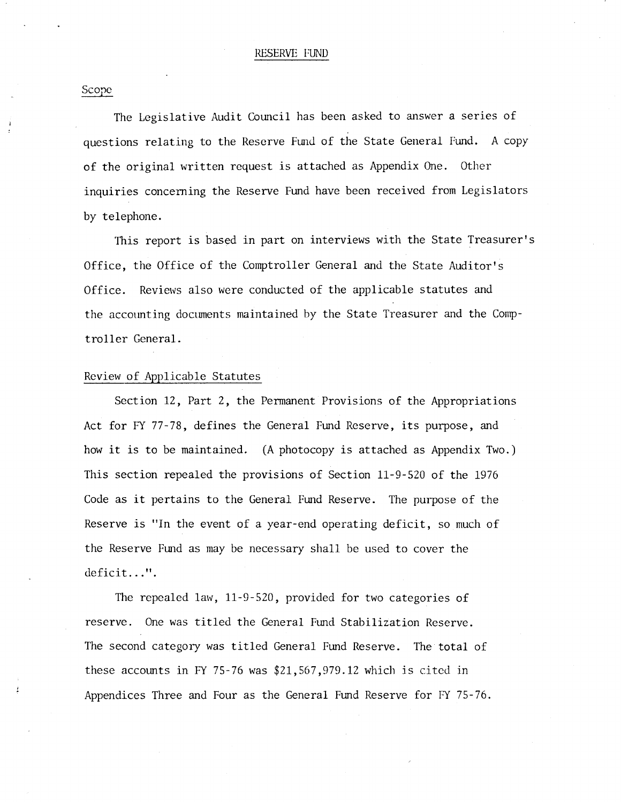Scope

The Legislative Audit Council has been asked to answer a series of questions relating to the Reserve Fund of the State General Fund. A copy of the original written request is attached as Appendix One. Other inquiries concerning the Reserve Fund have been received from Legislators by telephone.

This report is based in part on interviews with the State Treasurer's Office, the Office of the Comptroller General and the State Auditor's Office. Reviews also were conducted of the applicable statutes and the accounting documents maintained by the State Treasurer and the Comptroller General.

### Review of Applicable Statutes

Section 12, Part 2, the Permanent Provisions of the Appropriations Act for FY 77-78, defines the General Fund Reserve, its purpose, and how it is to be maintained. (A photocopy is attached as Appendix Two.) This section repealed the provisions of Section 11-9-520 of the 1976 Code as it pertains to the General Fund Reserve. The purpose of the Reserve is "In the event of a year-end operating deficit, so much of the Reserve Fund as may be necessary shall be used to cover the deficit...".

The repealed law, 11-9-520, provided for two categories of reserve. One was titled the General Fund Stabilization Reserve. The second category was titled General Fund Reserve. The total of these accounts in FY 75-76 was  $$21,567,979.12$  which is cited in Appendices Three and Four as the General Fund Reserve for FY 75-76.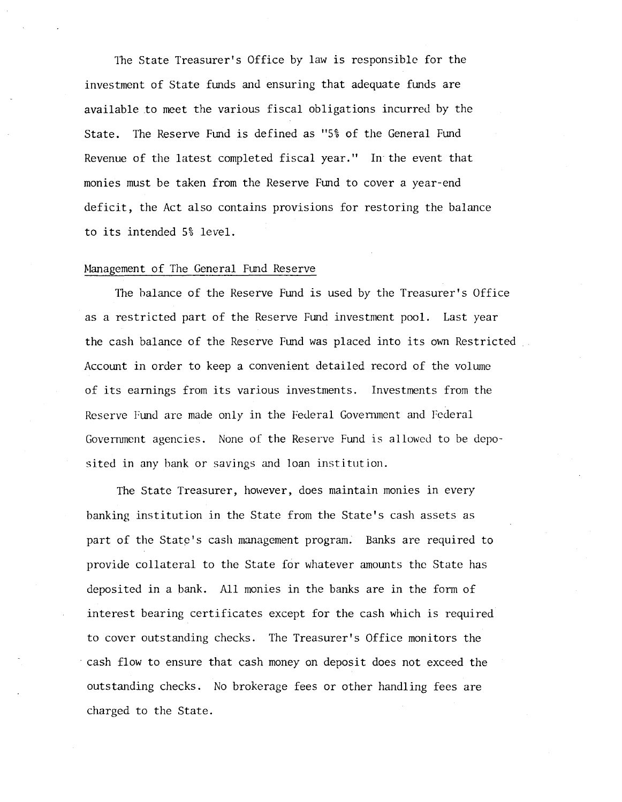1he State Treasurer's Office by law is responsible for the investment of State funds and ensuring that adequate funds are available to meet the various fiscal obligations incurred by the State. The Reserve Fund is defined as "5% of the General Fund Revenue of the latest completed fiscal year." In the event that monies must be taken from the Reserve Fund to cover a year-end deficit, the Act also contains provisions for restoring the balance to its intended 5% level.

### Management of The General Fund Reserve

The balance of the Reserve Fund is used by the Treasurer's Office as a restricted part of the Reserve Fund investment pool. Last year the cash balance of the Reserve Fund was placed into its own Restricted Account in order to keep a convenient detailed record of the volume of its earnings from its various investments. Investments from the Reserve Fund are made only in the Federal Government and Federal Government agencies. None of the Reserve Fund is allowed to be deposited in any bank or savings and loan institution.

The State Treasurer, however, does maintain monies in every banking institution in the State from the State's cash assets as part of the State's cash management program. Banks are required to provide collateral to the State for whatever amounts the State has deposited in a bank. All monies in the banks are in the form of interest bearing certificates except for the cash which is required to cover outstanding checks. The Treasurer's Office monitors the cash flow to ensure that cash money on deposit does not exceed the outstanding checks. No brokerage fees or other handling fees are charged to the State.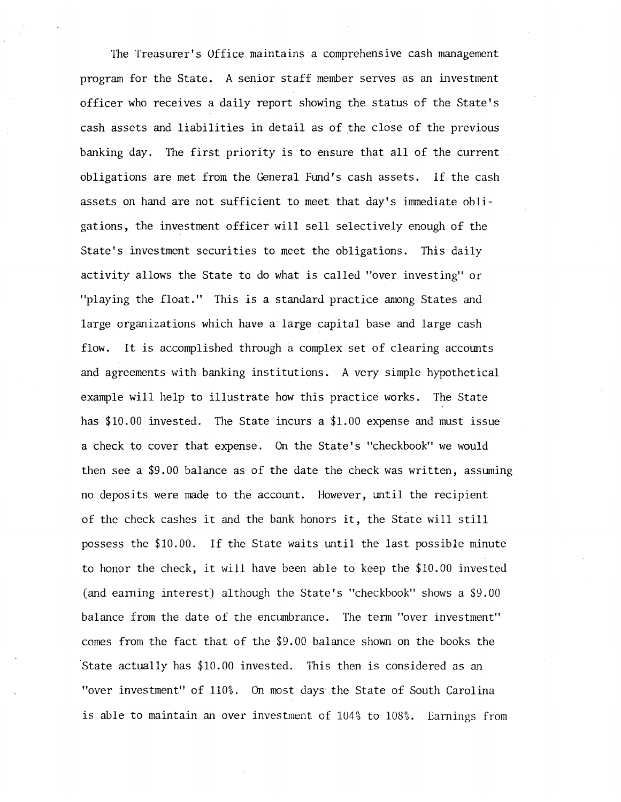The Treasurer's Office maintains a comprehensive cash management program for the State. A senior staff member serves as an investment officer who receives a daily report showing the status of the State's cash assets and liabilities in detail as of the close of the previous banking day. The first priority is to ensure that all of the current obligations are met from the General Fund's cash assets. If the cash assets on hand are not sufficient to meet that day's immediate obligations, the investment officer will sell selectively enough of the State's investment securities to meet the obligations. This daily activity allows the State to do what is called "over investing" or "playing the float." This is a standard practice among States and large organizations which have a large capital base and large cash flow. It is accomplished through a complex set of clearing accounts and agreements with banking institutions. A very simple hypothetical example will help to illustrate how this practice works. The State has \$10.00 invested. The State incurs a \$1.00 expense and must issue a check to cover that expense. On the State's "checkbook" we would then see a \$9.00 balance as of the date the check was written, assuming no deposits were made to the account. However, until the recipient of the check cashes it and the bank honors it, the State will still possess the \$10.00. If the State waits until the last possible minute to honor the check, it will have been able to keep the \$10.00 invested (and earning interest) although the State's "checkbook" shows a \$9.00 balance from the date of the encumbrance. The term "over investment" comes from the fact that of the \$9.00 balance shown on the books the State actually has \$10.00 invested. This then is considered as an "over investment" of 110%. On most days the State of South Carolina is able to maintain an over investment of  $104\%$  to  $108\%$ . Earnings from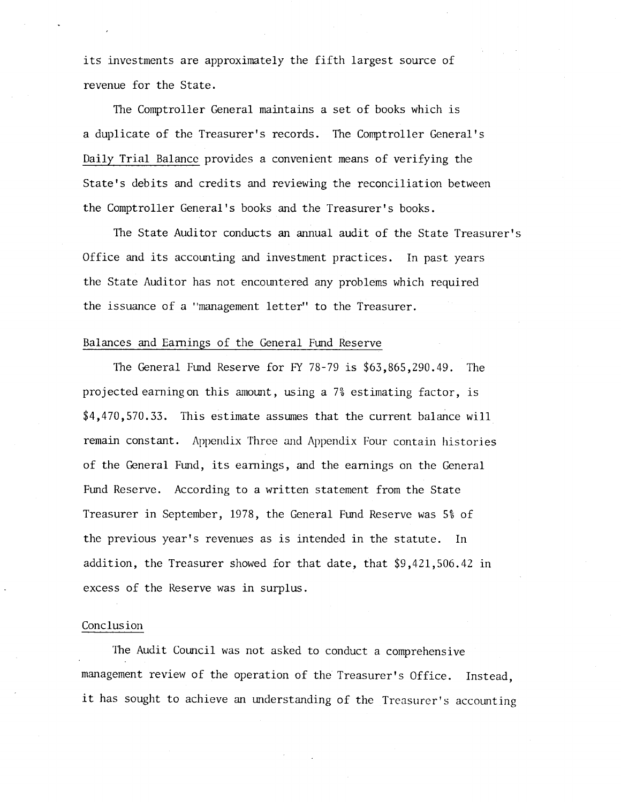its investments are approximately the fifth largest source of revenue for the State.

The Comptroller General maintains a set of books which is a duplicate of the Treasurer's records. The Comptroller General's Daily Trial Balance provides a convenient means of verifying the State's debits and credits and reviewing the reconciliation between the Comptroller General's books and the Treasurer's books.

The State Auditor conducts an annual audit of the State Treasurer's Office and its accounting and investment practices. In past years the State Auditor has not encountered any problems which required the issuance of a "management letter" to the Treasurer.

### Balances and Earnings of the General Fund Reserve

The General Fund Reserve for FY 78-79 is \$63,865,290.49. The projected earning on this amount, using a 7% estimating factor, is \$4,470,570.33. This estimate assumes that the current balance will remain constant. Appendix Three and Appendix Four contain histories of the General Fund, its earnings, and the earnings on the General Fund Reserve. According to a written statement from the State Treasurer in September, 1978, the General Fund Reserve was 5% of the previous year's revenues as is intended in the statute. In addition, the Treasurer showed for that date, that \$9,421,506.42 in excess of the Reserve was in surplus.

## Conclusion

The Audit Council was not asked to conduct a comprehensive management review of the operation of the Treasurer's Office. Instead, it has sought to achieve an understanding of the Treasurer's accounting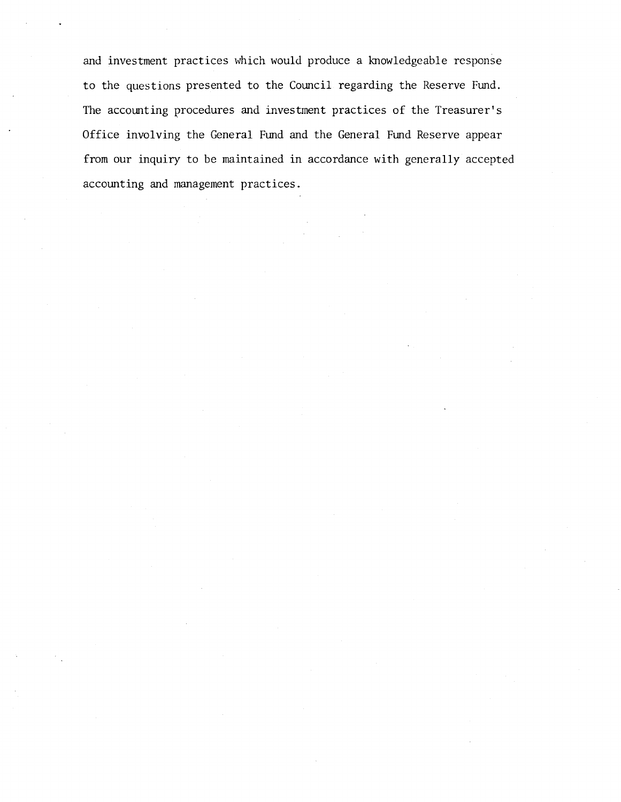and investment practices which would produce a knowledgeable response to the questions presented to the Council regarding the Reserve Fund. The accounting procedures and investment practices of the Treasurer's Office involving the General Fund and the General Fund Reserve appear from our inquiry to be maintained in accordance with generally accepted accounting and management practices.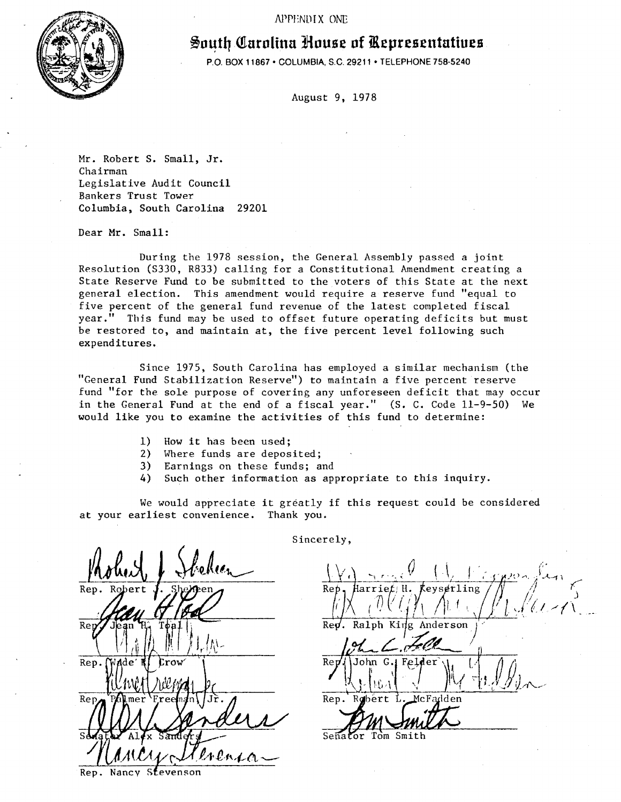APPENDIX ONE



# ~o4t.Q **Qtarolina Jlouse of iRepresentatiues**

P.O. BOX 11867 • COLUMBIA, S.C. 29211 • TELEPHONE 758·5240

August 9, 1978

Mr. Robert S. Small, Jr. Chairman Legislative Audit Council Bankers Trust Tower Columbia, South Carolina 29201

Dear Mr. Small:

During the 1978 session, the General Assembly passed a joint Resolution (S330, R833) calling for a Constitutional Amendment creating a State Reserve Fund to be submitted to the voters of this State at the next general election. This amendment would require a reserve fund "equal to five percent of the general fund revenue of the latest completed fiscal year.'' This fund may be used to offset future operating deficits but must be restored to, and maintain at, the five percent level following such expenditures.

Since 1975, South Carolina has employed a similar mechanism (the "General Fund Stabilization Reserve") to maintain a five percent reserve fund ''for the sole purpose of covering any unforeseen deficit that may occur in the General Fund at the end of a fiscal year." (S. C. Code 11-9-50) We would like you to examine the activities of this fund to determine:

- 1) How it has been used;
- 2) Where funds are deposited;
- 3) Earnings on these funds; and
- 4) Such other information as appropriate to this inquiry.

We would appreciate it greatly if this request could be considered at your earliest convenience. Thank you.

Rep Ret Rep. Rep renc

Stevenson Rep. Nancy

Sincerely,

Ret larrief:H. Ralph King Anderson  $\overline{\text{Re}}$ . Ret G John-Rep.

Tom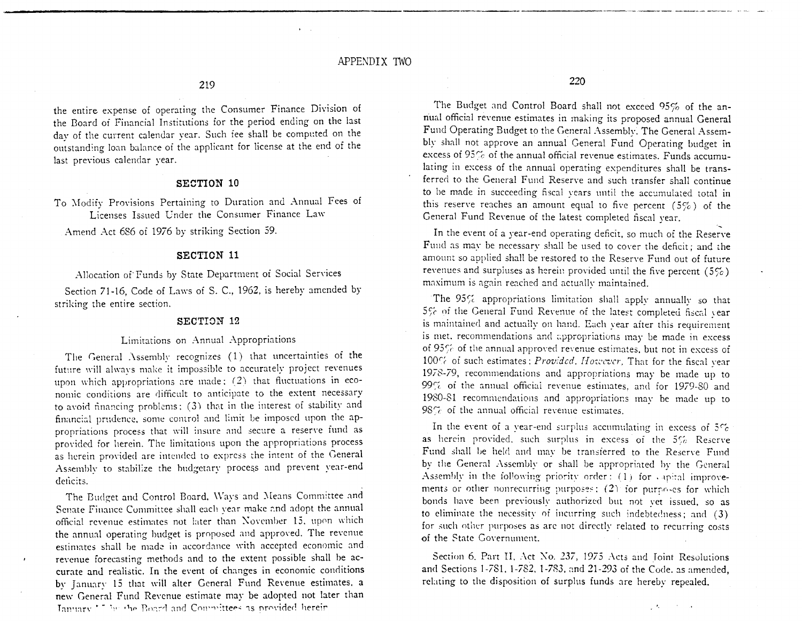the entire expense of operating the Consumer Finance Division of the Board of Financial Institutions for the period ending on the last day of the current calendar year. Such fee shall be computed on the outstanding loan balance of the applicant for license at the end of the last previous calendar year.

#### **SECTION 10**

To Modify Provisions Pertaining to Duration and Annual Fees of Licenses Issued Under the Consumer Finance Law

Amend Act 686 of 1976 by striking Section 59.

#### **SECTION 11**

Allocation of Funds by State Department of Social Services

Section 71-16, Code of Laws of S. C., 1962, is hereby amended by striking the entire section.

#### SECTION 12

#### Limitations on Annual Appropriations

The General Assembly recognizes (1) that uncertainties of the future will always make it impossible to accurately project revenues upon which appropriations are made: (2) that fluctuations in economic conditions are difficult to anticipate to the extent necessary to avoid financing problems; (3) that in the interest of stability and financial prudence, some control and limit be imposed upon the appropriations process that will insure and secure a reserve fund as provided for herein. The limitations upon the appropriations process as herein provided are intended to express the intent of the General Assembly to stabilize the budgetary process and prevent year-end deficits.

The Budget and Control Board, Ways and Means Committee and Senate Finance Committee shall each year make and adopt the annual official revenue estimates not later than November 15, upon which the annual operating budget is proposed and approved. The revenue estimates shall be made in accordance with accepted economic and revenue forecasting methods and to the extent possible shall be accurate and realistic. In the event of changes in economic conditions by January 15 that will alter General Fund Revenue estimates, a new General Fund Revenue estimate may be adopted not later than January 17 by the Board and Committees as provided herein

220

The Budget and Control Board shall not exceed 95% of the annual official revenue estimates in making its proposed annual General Fund Operating Budget to the General Assembly. The General Assembly shall not approve an annual General Fund Operating budget in excess of 95% of the annual official revenue estimates. Funds accumulating in excess of the annual operating expenditures shall be transferred to the General Fund Reserve and such transfer shall continue to be made in succeeding fiscal years until the accumulated total in this reserve reaches an amount equal to five percent  $(5\%)$  of the General Fund Revenue of the latest completed fiscal year.

In the event of a year-end operating deficit, so much of the Reserve Fund as may be necessary shall be used to cover the deficit; and the amount so applied shall be restored to the Reserve Fund out of future revenues and surpluses as herein provided until the five percent  $(5\%)$ maximum is again reached and actually maintained.

The 95% appropriations limitation shall apply annually so that 5% of the General Fund Revenue of the latest completed fiscal year is maintained and actually on hand. Each year after this requirement is met. recommendations and appropriations may be made in excess of 95% of the annual approved revenue estimates, but not in excess of 100% of such estimates; Provided, However, That for the fiscal year 1978-79, recommendations and appropriations may be made up to 99% of the annual official revenue estimates, and for 1979-80 and 1980-81 recommendations and appropriations may be made up to  $98\%$  of the annual official revenue estimates.

In the event of a year-end surplus accumulating in excess of  $5\%$ as herein provided, such surplus in excess of the 5% Reserve Fund shall be held and may be transferred to the Reserve Fund by the General Assembly or shall be appropriated by the General Assembly in the following priority order: (1) for capital improvements or other nonrecurring purposes: (2) for purposes for which bonds have been previously authorized but not yet issued, so as to eliminate the necessity of incurring such indebtedness; and (3) for such other purposes as are not directly related to recurring costs of the State Governument.

Section 6, Part II, Act No. 237, 1975 Acts and Joint Resolutions and Sections 1-781, 1-782, 1-783, and 21-293 of the Code, as amended, relating to the disposition of surplus funds are hereby repealed.

 $\mathcal{L}(\mathcal{K})$  and  $\mathcal{K}(\mathcal{K})$  and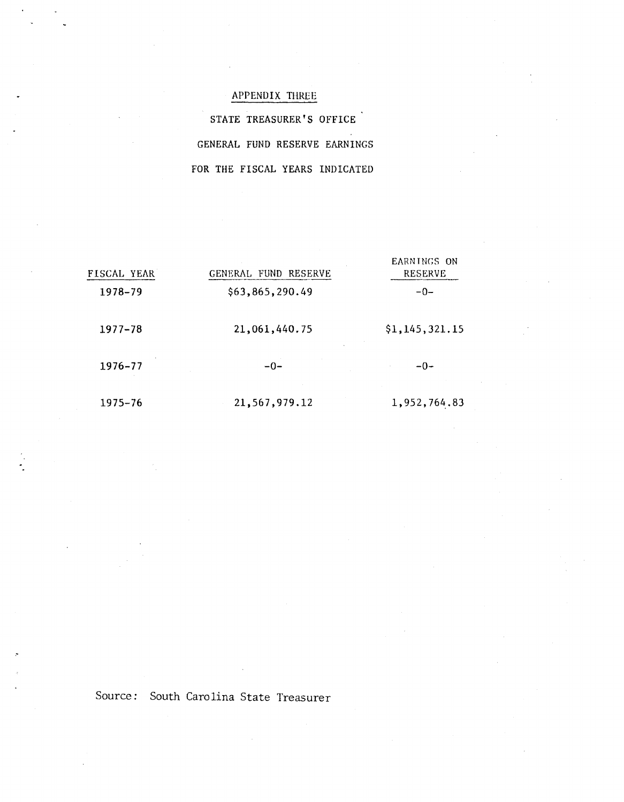## APPENDIX THREE

STATE TREASURER'S OFFICE GENERAL FUND RESERVE EARNINGS FOR THE FISCAL YEARS INDICATED

| FISCAL YEAR | GENERAL FUND RESERVE | EARNINGS ON<br><b>RESERVE</b><br>$-0-$ |  |
|-------------|----------------------|----------------------------------------|--|
| 1978-79     | \$63,865,290.49      |                                        |  |
| $1977 - 78$ | 21,061,440.75        | \$1,145,321.15                         |  |
| 1976-77     | $-0-$                | $-0-$                                  |  |
| 1975–76     | 21,567,979.12        | 1,952,764.83                           |  |

Source: South Carolina State Treasurer